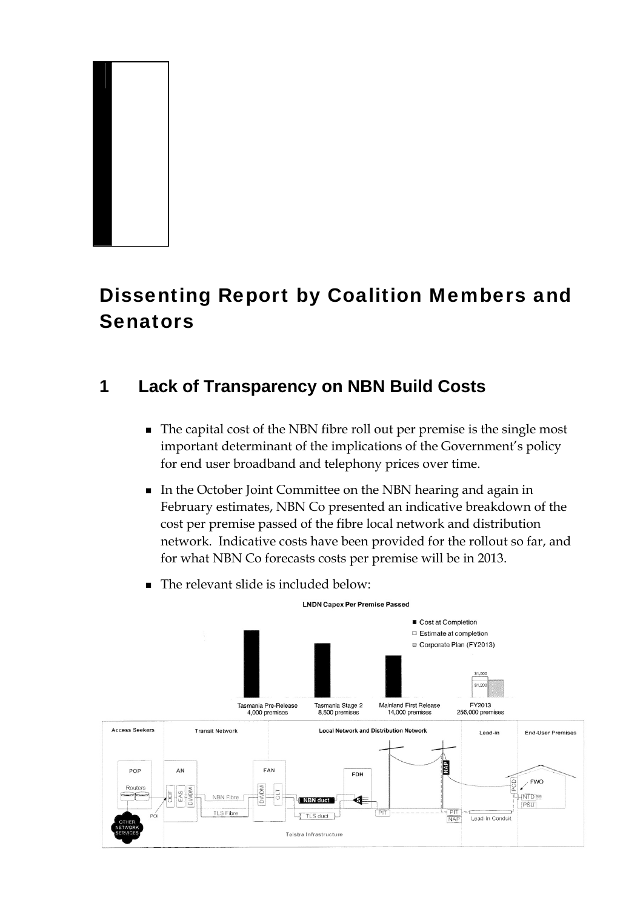

# Dissenting Report by Coalition Members and **Senators**

# **1 Lack of Transparency on NBN Build Costs**

- The capital cost of the NBN fibre roll out per premise is the single most important determinant of the implications of the Government's policy for end user broadband and telephony prices over time.
- In the October Joint Committee on the NBN hearing and again in February estimates, NBN Co presented an indicative breakdown of the cost per premise passed of the fibre local network and distribution network. Indicative costs have been provided for the rollout so far, and for what NBN Co forecasts costs per premise will be in 2013.

**I NDN Capex Per Premise Passed** 



The relevant slide is included below: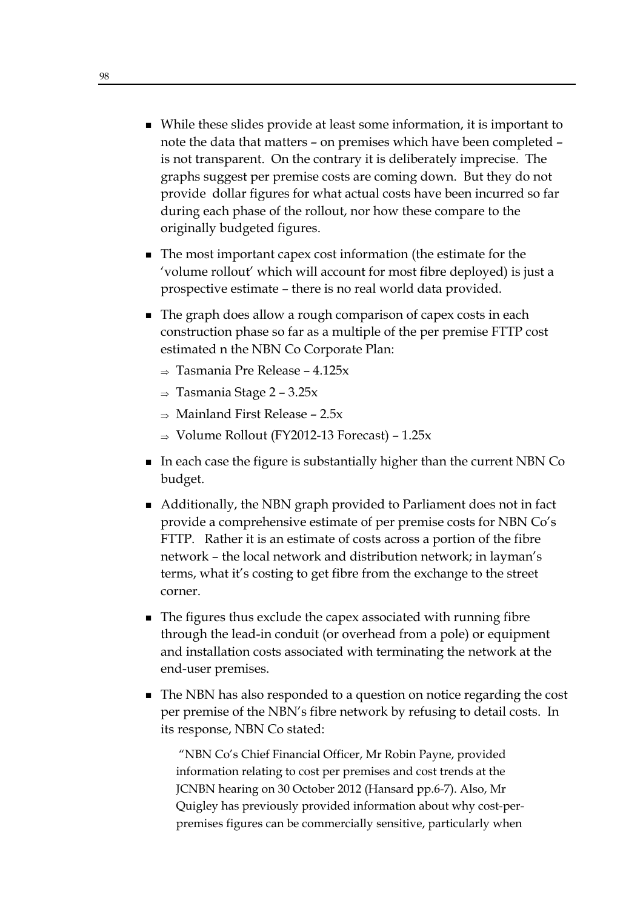- While these slides provide at least some information, it is important to note the data that matters – on premises which have been completed – is not transparent. On the contrary it is deliberately imprecise. The graphs suggest per premise costs are coming down. But they do not provide dollar figures for what actual costs have been incurred so far during each phase of the rollout, nor how these compare to the originally budgeted figures.
- The most important capex cost information (the estimate for the 'volume rollout' which will account for most fibre deployed) is just a prospective estimate – there is no real world data provided.
- The graph does allow a rough comparison of capex costs in each construction phase so far as a multiple of the per premise FTTP cost estimated n the NBN Co Corporate Plan:
	- $\Rightarrow$  Tasmania Pre Release 4.125x
	- $\Rightarrow$  Tasmania Stage 2 3.25x
	- $\Rightarrow$  Mainland First Release 2.5x
	- $\Rightarrow$  Volume Rollout (FY2012-13 Forecast) 1.25x
- In each case the figure is substantially higher than the current NBN Co budget.
- Additionally, the NBN graph provided to Parliament does not in fact provide a comprehensive estimate of per premise costs for NBN Co's FTTP. Rather it is an estimate of costs across a portion of the fibre network – the local network and distribution network; in layman's terms, what it's costing to get fibre from the exchange to the street corner.
- The figures thus exclude the capex associated with running fibre through the lead-in conduit (or overhead from a pole) or equipment and installation costs associated with terminating the network at the end-user premises.
- The NBN has also responded to a question on notice regarding the cost per premise of the NBN's fibre network by refusing to detail costs. In its response, NBN Co stated:

 "NBN Co's Chief Financial Officer, Mr Robin Payne, provided information relating to cost per premises and cost trends at the JCNBN hearing on 30 October 2012 (Hansard pp.6-7). Also, Mr Quigley has previously provided information about why cost-perpremises figures can be commercially sensitive, particularly when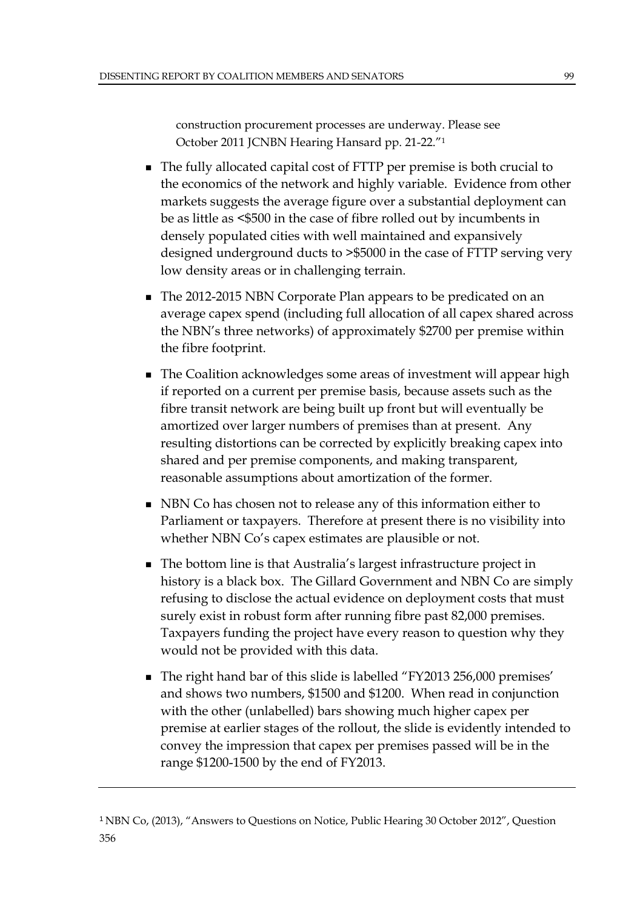construction procurement processes are underway. Please see October 2011 JCNBN Hearing Hansard pp. 21-22."1

- The fully allocated capital cost of FTTP per premise is both crucial to the economics of the network and highly variable. Evidence from other markets suggests the average figure over a substantial deployment can be as little as <\$500 in the case of fibre rolled out by incumbents in densely populated cities with well maintained and expansively designed underground ducts to >\$5000 in the case of FTTP serving very low density areas or in challenging terrain.
- The 2012-2015 NBN Corporate Plan appears to be predicated on an average capex spend (including full allocation of all capex shared across the NBN's three networks) of approximately \$2700 per premise within the fibre footprint.
- **The Coalition acknowledges some areas of investment will appear high** if reported on a current per premise basis, because assets such as the fibre transit network are being built up front but will eventually be amortized over larger numbers of premises than at present. Any resulting distortions can be corrected by explicitly breaking capex into shared and per premise components, and making transparent, reasonable assumptions about amortization of the former.
- NBN Co has chosen not to release any of this information either to Parliament or taxpayers. Therefore at present there is no visibility into whether NBN Co's capex estimates are plausible or not.
- The bottom line is that Australia's largest infrastructure project in history is a black box. The Gillard Government and NBN Co are simply refusing to disclose the actual evidence on deployment costs that must surely exist in robust form after running fibre past 82,000 premises. Taxpayers funding the project have every reason to question why they would not be provided with this data.
- The right hand bar of this slide is labelled "FY2013 256,000 premises" and shows two numbers, \$1500 and \$1200. When read in conjunction with the other (unlabelled) bars showing much higher capex per premise at earlier stages of the rollout, the slide is evidently intended to convey the impression that capex per premises passed will be in the range \$1200-1500 by the end of FY2013.

<sup>1</sup> NBN Co, (2013), "Answers to Questions on Notice, Public Hearing 30 October 2012", Question 356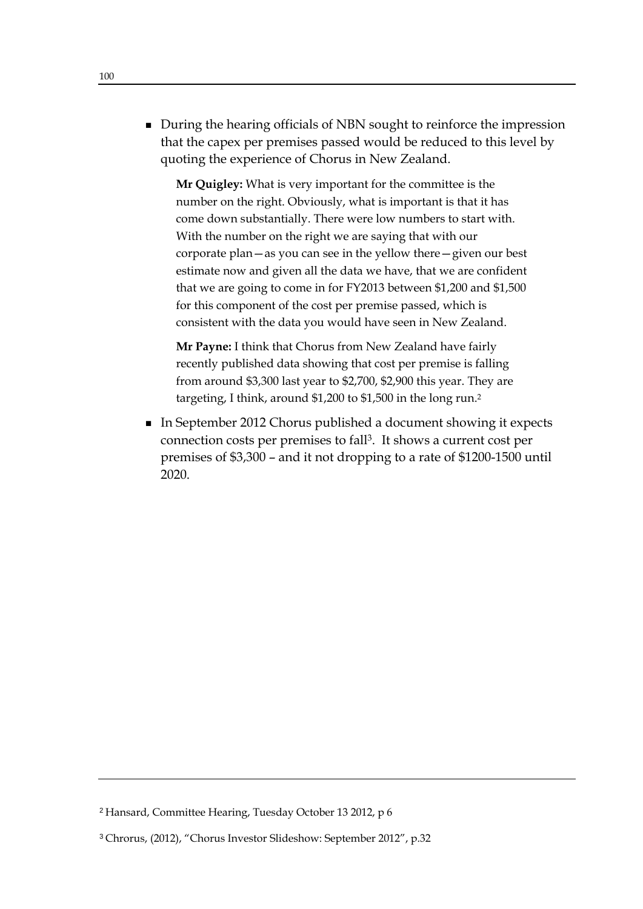**During the hearing officials of NBN sought to reinforce the impression** that the capex per premises passed would be reduced to this level by quoting the experience of Chorus in New Zealand.

**Mr Quigley:** What is very important for the committee is the number on the right. Obviously, what is important is that it has come down substantially. There were low numbers to start with. With the number on the right we are saying that with our corporate plan—as you can see in the yellow there—given our best estimate now and given all the data we have, that we are confident that we are going to come in for FY2013 between \$1,200 and \$1,500 for this component of the cost per premise passed, which is consistent with the data you would have seen in New Zealand.

**Mr Payne:** I think that Chorus from New Zealand have fairly recently published data showing that cost per premise is falling from around \$3,300 last year to \$2,700, \$2,900 this year. They are targeting, I think, around \$1,200 to \$1,500 in the long run.2

■ In September 2012 Chorus published a document showing it expects connection costs per premises to fall3. It shows a current cost per premises of \$3,300 – and it not dropping to a rate of \$1200-1500 until 2020.

<sup>2</sup> Hansard, Committee Hearing, Tuesday October 13 2012, p 6

<sup>3</sup> Chrorus, (2012), "Chorus Investor Slideshow: September 2012", p.32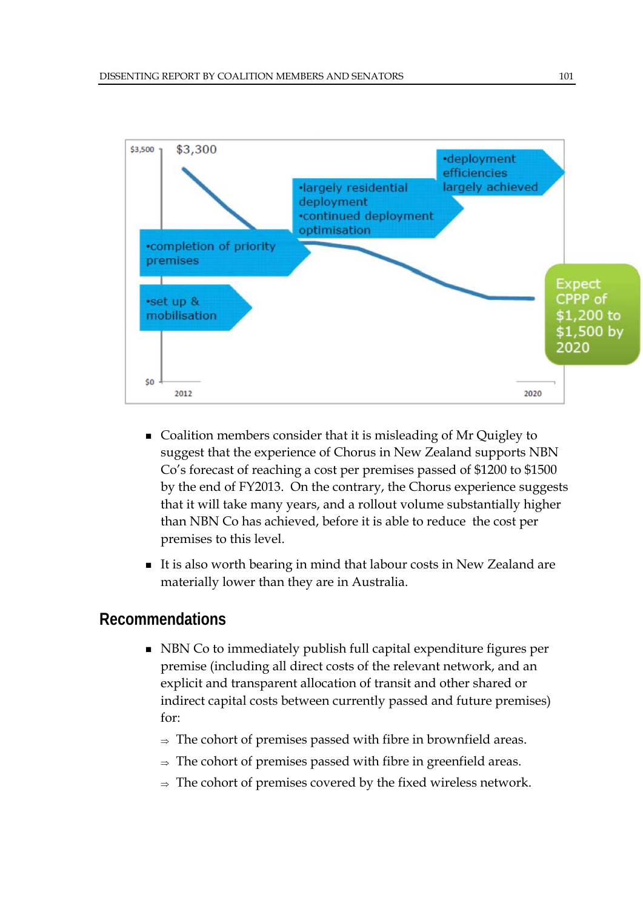

- Coalition members consider that it is misleading of Mr Quigley to suggest that the experience of Chorus in New Zealand supports NBN Co's forecast of reaching a cost per premises passed of \$1200 to \$1500 by the end of FY2013. On the contrary, the Chorus experience suggests that it will take many years, and a rollout volume substantially higher than NBN Co has achieved, before it is able to reduce the cost per premises to this level.
- It is also worth bearing in mind that labour costs in New Zealand are materially lower than they are in Australia.

#### **Recommendations**

- NBN Co to immediately publish full capital expenditure figures per premise (including all direct costs of the relevant network, and an explicit and transparent allocation of transit and other shared or indirect capital costs between currently passed and future premises) for:
	- $\Rightarrow$  The cohort of premises passed with fibre in brownfield areas.
	- $\Rightarrow$  The cohort of premises passed with fibre in greenfield areas.
	- $\Rightarrow$  The cohort of premises covered by the fixed wireless network.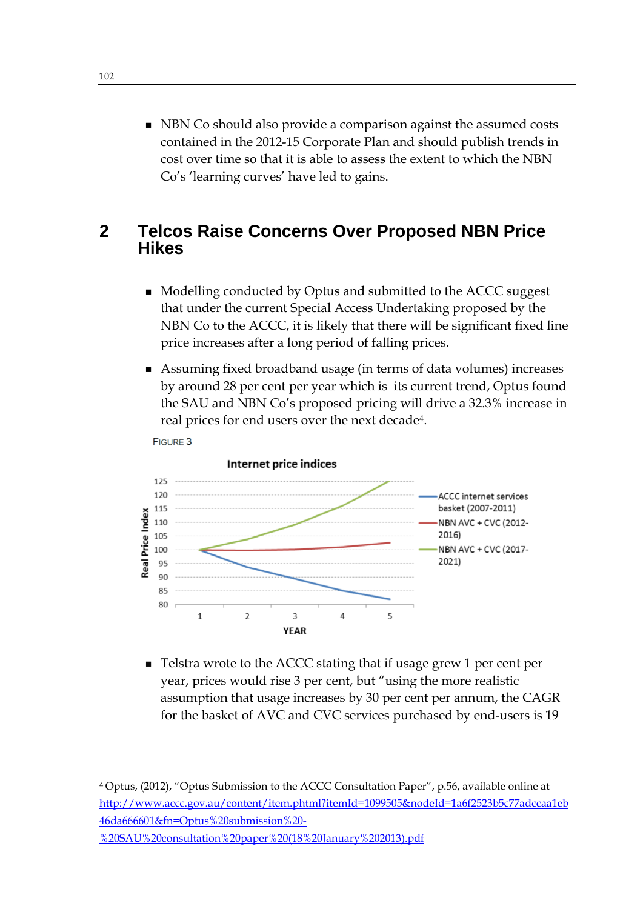**NBN** Co should also provide a comparison against the assumed costs contained in the 2012-15 Corporate Plan and should publish trends in cost over time so that it is able to assess the extent to which the NBN Co's 'learning curves' have led to gains.

#### **2 Telcos Raise Concerns Over Proposed NBN Price Hikes**

- Modelling conducted by Optus and submitted to the ACCC suggest that under the current Special Access Undertaking proposed by the NBN Co to the ACCC, it is likely that there will be significant fixed line price increases after a long period of falling prices.
- Assuming fixed broadband usage (in terms of data volumes) increases by around 28 per cent per year which is its current trend, Optus found the SAU and NBN Co's proposed pricing will drive a 32.3% increase in real prices for end users over the next decade4.





■ Telstra wrote to the ACCC stating that if usage grew 1 per cent per year, prices would rise 3 per cent, but "using the more realistic assumption that usage increases by 30 per cent per annum, the CAGR for the basket of AVC and CVC services purchased by end-users is 19

<sup>4</sup> Optus, (2012), "Optus Submission to the ACCC Consultation Paper", p.56, available online at http://www.accc.gov.au/content/item.phtml?itemId=1099505&nodeId=1a6f2523b5c77adccaa1eb 46da666601&fn=Optus%20submission%20- %20SAU%20consultation%20paper%20(18%20January%202013).pdf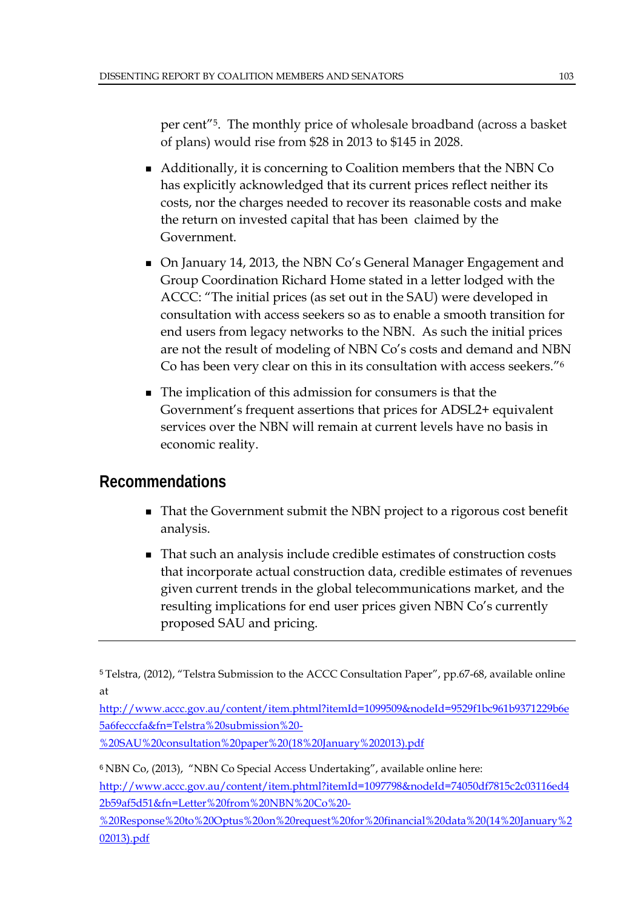per cent"5. The monthly price of wholesale broadband (across a basket of plans) would rise from \$28 in 2013 to \$145 in 2028.

- Additionally, it is concerning to Coalition members that the NBN Co has explicitly acknowledged that its current prices reflect neither its costs, nor the charges needed to recover its reasonable costs and make the return on invested capital that has been claimed by the Government.
- On January 14, 2013, the NBN Co's General Manager Engagement and Group Coordination Richard Home stated in a letter lodged with the ACCC: "The initial prices (as set out in the SAU) were developed in consultation with access seekers so as to enable a smooth transition for end users from legacy networks to the NBN. As such the initial prices are not the result of modeling of NBN Co's costs and demand and NBN Co has been very clear on this in its consultation with access seekers."6
- The implication of this admission for consumers is that the Government's frequent assertions that prices for ADSL2+ equivalent services over the NBN will remain at current levels have no basis in economic reality.

## **Recommendations**

- That the Government submit the NBN project to a rigorous cost benefit analysis.
- That such an analysis include credible estimates of construction costs that incorporate actual construction data, credible estimates of revenues given current trends in the global telecommunications market, and the resulting implications for end user prices given NBN Co's currently proposed SAU and pricing.

http://www.accc.gov.au/content/item.phtml?itemId=1099509&nodeId=9529f1bc961b9371229b6e 5a6fecccfa&fn=Telstra%20submission%20-

%20SAU%20consultation%20paper%20(18%20January%202013).pdf

<sup>6</sup> NBN Co, (2013), "NBN Co Special Access Undertaking", available online here:

http://www.accc.gov.au/content/item.phtml?itemId=1097798&nodeId=74050df7815c2c03116ed4 2b59af5d51&fn=Letter%20from%20NBN%20Co%20-

%20Response%20to%20Optus%20on%20request%20for%20financial%20data%20(14%20January%2 02013).pdf

<sup>5</sup> Telstra, (2012), "Telstra Submission to the ACCC Consultation Paper", pp.67-68, available online at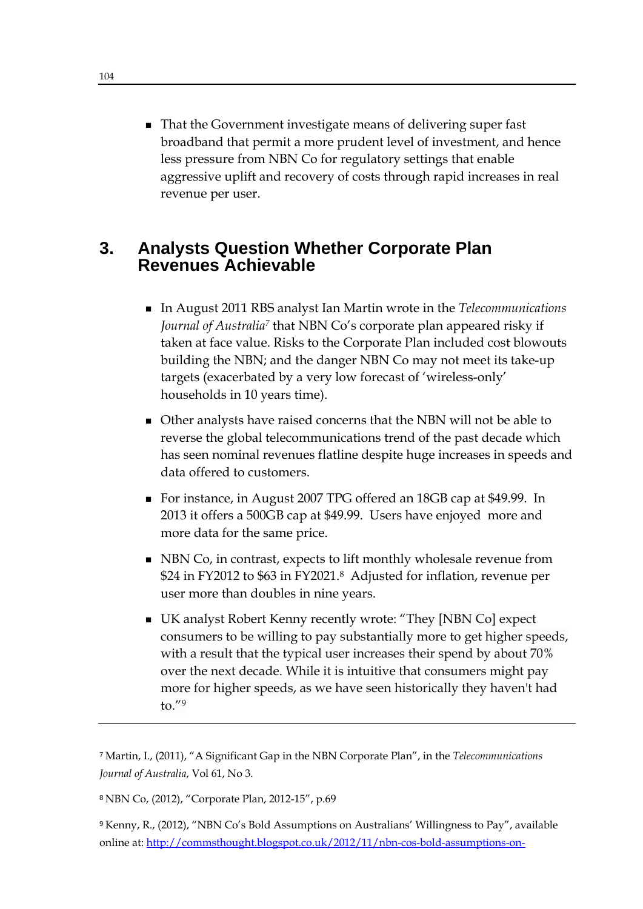■ That the Government investigate means of delivering super fast broadband that permit a more prudent level of investment, and hence less pressure from NBN Co for regulatory settings that enable aggressive uplift and recovery of costs through rapid increases in real revenue per user.

#### **3. Analysts Question Whether Corporate Plan Revenues Achievable**

- In August 2011 RBS analyst Ian Martin wrote in the *Telecommunications Journal of Australia7* that NBN Co's corporate plan appeared risky if taken at face value. Risks to the Corporate Plan included cost blowouts building the NBN; and the danger NBN Co may not meet its take-up targets (exacerbated by a very low forecast of 'wireless-only' households in 10 years time).
- Other analysts have raised concerns that the NBN will not be able to reverse the global telecommunications trend of the past decade which has seen nominal revenues flatline despite huge increases in speeds and data offered to customers.
- For instance, in August 2007 TPG offered an 18GB cap at \$49.99. In 2013 it offers a 500GB cap at \$49.99. Users have enjoyed more and more data for the same price.
- NBN Co, in contrast, expects to lift monthly wholesale revenue from \$24 in FY2012 to \$63 in FY2021.8 Adjusted for inflation, revenue per user more than doubles in nine years.
- UK analyst Robert Kenny recently wrote: "They [NBN Co] expect consumers to be willing to pay substantially more to get higher speeds, with a result that the typical user increases their spend by about 70% over the next decade. While it is intuitive that consumers might pay more for higher speeds, as we have seen historically they haven't had to. $^{\prime\prime}$ <sup>9</sup>

<sup>7</sup> Martin, I., (2011), "A Significant Gap in the NBN Corporate Plan", in the *Telecommunications Journal of Australia*, Vol 61, No 3.

<sup>8</sup> NBN Co, (2012), "Corporate Plan, 2012-15", p.69

<sup>9</sup> Kenny, R., (2012), "NBN Co's Bold Assumptions on Australians' Willingness to Pay", available online at: http://commsthought.blogspot.co.uk/2012/11/nbn-cos-bold-assumptions-on-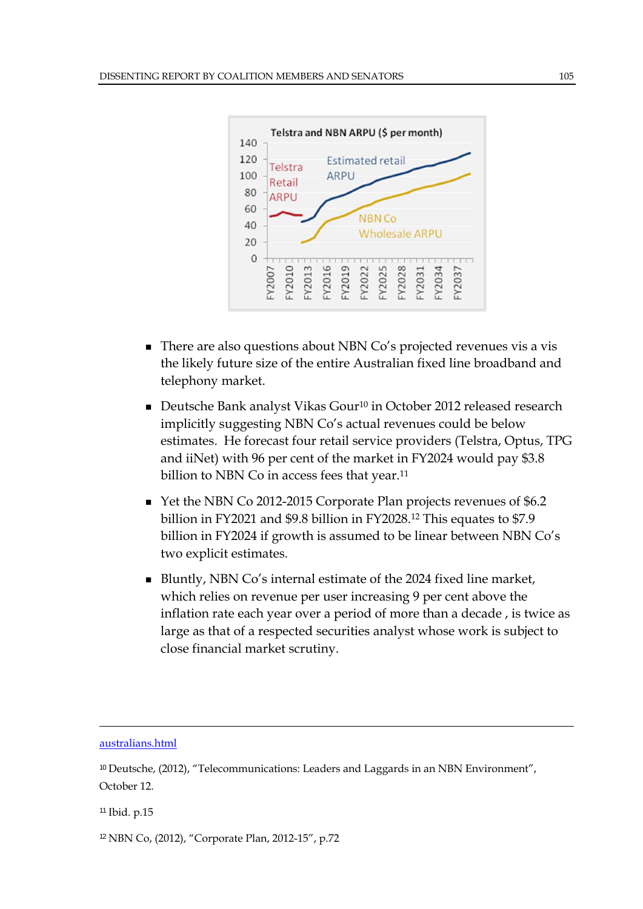

- There are also questions about NBN Co's projected revenues vis a vis the likely future size of the entire Australian fixed line broadband and telephony market.
- Deutsche Bank analyst Vikas Gour<sup>10</sup> in October 2012 released research implicitly suggesting NBN Co's actual revenues could be below estimates. He forecast four retail service providers (Telstra, Optus, TPG and iiNet) with 96 per cent of the market in FY2024 would pay \$3.8 billion to NBN Co in access fees that year.<sup>11</sup>
- Yet the NBN Co 2012-2015 Corporate Plan projects revenues of \$6.2 billion in FY2021 and \$9.8 billion in FY2028.12 This equates to \$7.9 billion in FY2024 if growth is assumed to be linear between NBN Co's two explicit estimates.
- Bluntly, NBN Co's internal estimate of the 2024 fixed line market, which relies on revenue per user increasing 9 per cent above the inflation rate each year over a period of more than a decade , is twice as large as that of a respected securities analyst whose work is subject to close financial market scrutiny.

australians.html

 $\overline{a}$ 

<sup>11</sup> Ibid. p.15

12 NBN Co, (2012), "Corporate Plan, 2012-15", p.72

<sup>&</sup>lt;sup>10</sup> Deutsche, (2012), "Telecommunications: Leaders and Laggards in an NBN Environment", October 12.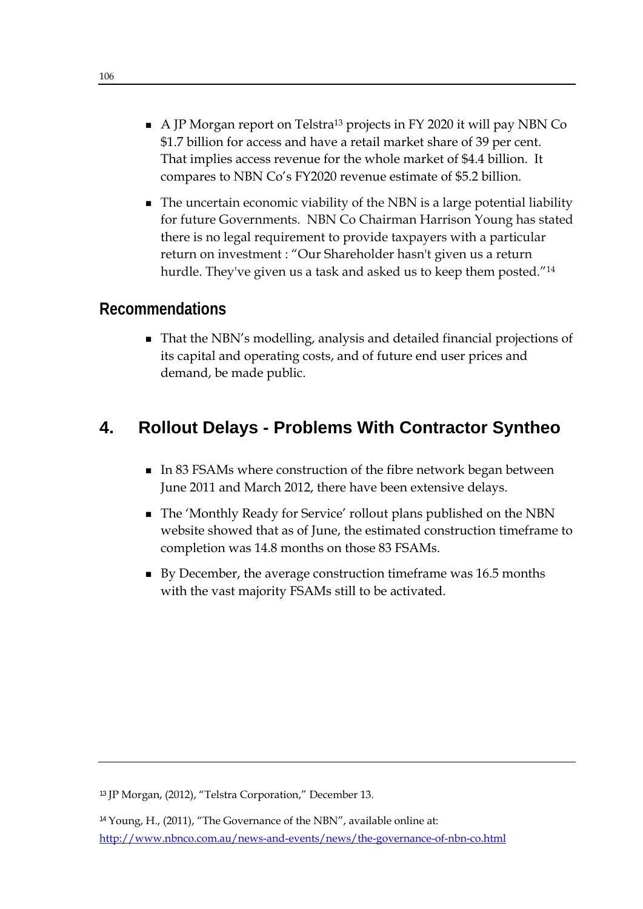- $\blacksquare$  A JP Morgan report on Telstra<sup>13</sup> projects in FY 2020 it will pay NBN Co \$1.7 billion for access and have a retail market share of 39 per cent. That implies access revenue for the whole market of \$4.4 billion. It compares to NBN Co's FY2020 revenue estimate of \$5.2 billion.
- The uncertain economic viability of the NBN is a large potential liability for future Governments. NBN Co Chairman Harrison Young has stated there is no legal requirement to provide taxpayers with a particular return on investment : "Our Shareholder hasn't given us a return hurdle. They've given us a task and asked us to keep them posted."<sup>14</sup>

#### **Recommendations**

That the NBN's modelling, analysis and detailed financial projections of its capital and operating costs, and of future end user prices and demand, be made public.

# **4. Rollout Delays - Problems With Contractor Syntheo**

- In 83 FSAMs where construction of the fibre network began between June 2011 and March 2012, there have been extensive delays.
- The 'Monthly Ready for Service' rollout plans published on the NBN website showed that as of June, the estimated construction timeframe to completion was 14.8 months on those 83 FSAMs.
- By December, the average construction timeframe was 16.5 months with the vast majority FSAMs still to be activated.

<sup>13</sup> JP Morgan, (2012), "Telstra Corporation," December 13.

<sup>&</sup>lt;sup>14</sup> Young, H., (2011), "The Governance of the NBN", available online at: http://www.nbnco.com.au/news-and-events/news/the-governance-of-nbn-co.html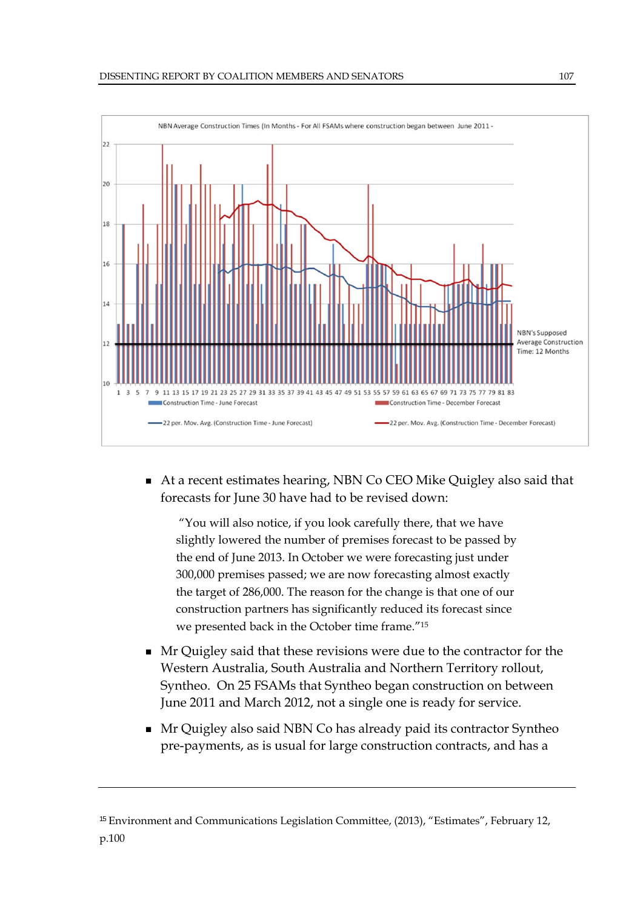

■ At a recent estimates hearing, NBN Co CEO Mike Quigley also said that forecasts for June 30 have had to be revised down:

 "You will also notice, if you look carefully there, that we have slightly lowered the number of premises forecast to be passed by the end of June 2013. In October we were forecasting just under 300,000 premises passed; we are now forecasting almost exactly the target of 286,000. The reason for the change is that one of our construction partners has significantly reduced its forecast since we presented back in the October time frame."15

- Mr Quigley said that these revisions were due to the contractor for the Western Australia, South Australia and Northern Territory rollout, Syntheo. On 25 FSAMs that Syntheo began construction on between June 2011 and March 2012, not a single one is ready for service.
- Mr Quigley also said NBN Co has already paid its contractor Syntheo pre-payments, as is usual for large construction contracts, and has a

<sup>&</sup>lt;sup>15</sup> Environment and Communications Legislation Committee, (2013), "Estimates", February 12, p.100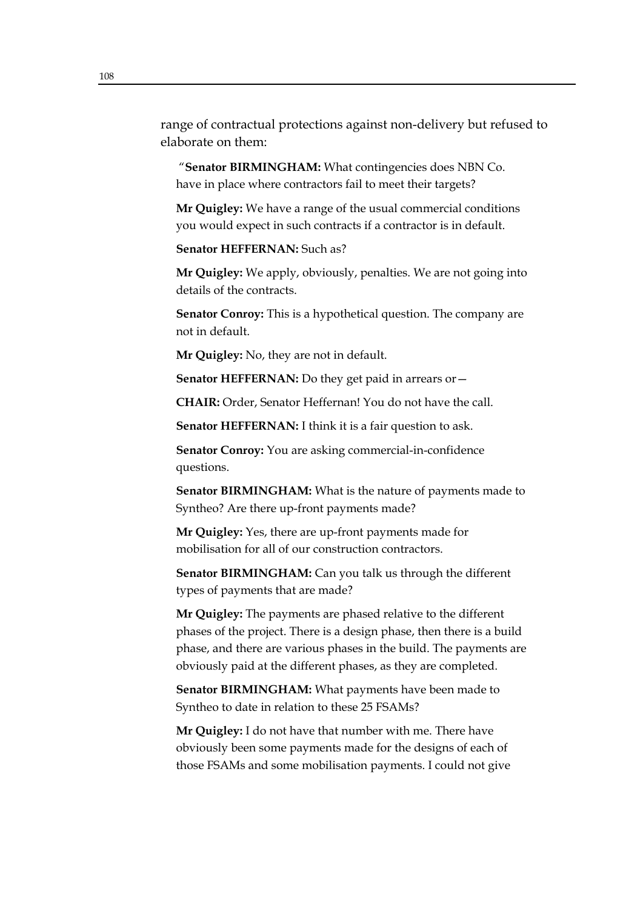range of contractual protections against non-delivery but refused to elaborate on them:

 "**Senator BIRMINGHAM:** What contingencies does NBN Co. have in place where contractors fail to meet their targets?

**Mr Quigley:** We have a range of the usual commercial conditions you would expect in such contracts if a contractor is in default.

**Senator HEFFERNAN: Such as?** 

**Mr Quigley:** We apply, obviously, penalties. We are not going into details of the contracts.

**Senator Conroy:** This is a hypothetical question. The company are not in default.

**Mr Quigley:** No, they are not in default.

Senator HEFFERNAN: Do they get paid in arrears or-

**CHAIR:** Order, Senator Heffernan! You do not have the call.

**Senator HEFFERNAN:** I think it is a fair question to ask.

**Senator Conroy:** You are asking commercial-in-confidence questions.

**Senator BIRMINGHAM:** What is the nature of payments made to Syntheo? Are there up-front payments made?

**Mr Quigley:** Yes, there are up-front payments made for mobilisation for all of our construction contractors.

**Senator BIRMINGHAM:** Can you talk us through the different types of payments that are made?

**Mr Quigley:** The payments are phased relative to the different phases of the project. There is a design phase, then there is a build phase, and there are various phases in the build. The payments are obviously paid at the different phases, as they are completed.

**Senator BIRMINGHAM:** What payments have been made to Syntheo to date in relation to these 25 FSAMs?

**Mr Quigley:** I do not have that number with me. There have obviously been some payments made for the designs of each of those FSAMs and some mobilisation payments. I could not give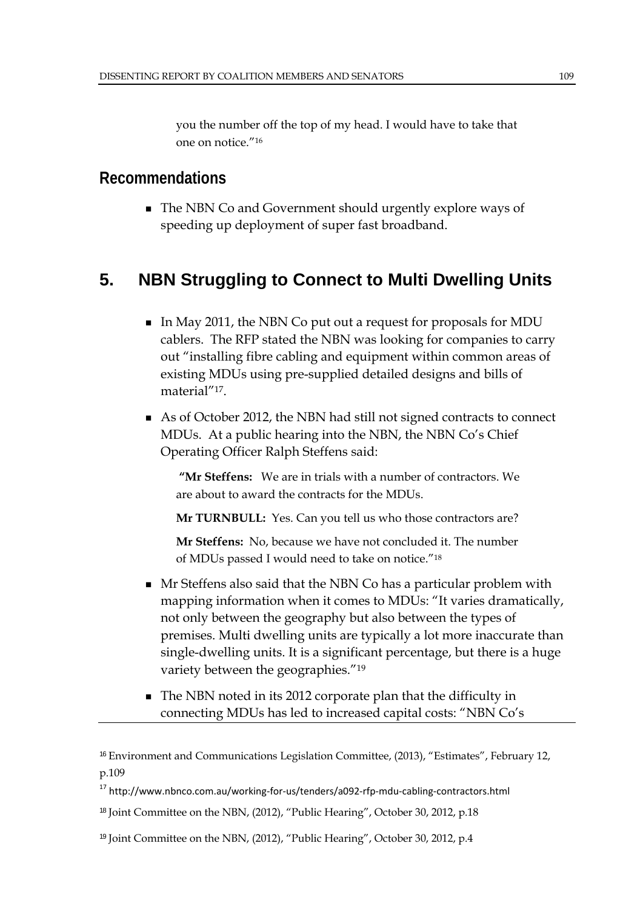you the number off the top of my head. I would have to take that one on notice."16

#### **Recommendations**

■ The NBN Co and Government should urgently explore ways of speeding up deployment of super fast broadband.

# **5. NBN Struggling to Connect to Multi Dwelling Units**

- In May 2011, the NBN Co put out a request for proposals for MDU cablers. The RFP stated the NBN was looking for companies to carry out "installing fibre cabling and equipment within common areas of existing MDUs using pre-supplied detailed designs and bills of material"17.
- As of October 2012, the NBN had still not signed contracts to connect MDUs. At a public hearing into the NBN, the NBN Co's Chief Operating Officer Ralph Steffens said:

 **"Mr Steffens:** We are in trials with a number of contractors. We are about to award the contracts for the MDUs.

**Mr TURNBULL:** Yes. Can you tell us who those contractors are?

**Mr Steffens:** No, because we have not concluded it. The number of MDUs passed I would need to take on notice."18

- **Mr Steffens also said that the NBN Co has a particular problem with** mapping information when it comes to MDUs: "It varies dramatically, not only between the geography but also between the types of premises. Multi dwelling units are typically a lot more inaccurate than single-dwelling units. It is a significant percentage, but there is a huge variety between the geographies."19
- The NBN noted in its 2012 corporate plan that the difficulty in connecting MDUs has led to increased capital costs: "NBN Co's

<sup>&</sup>lt;sup>16</sup> Environment and Communications Legislation Committee, (2013), "Estimates", February 12, p.109

<sup>&</sup>lt;sup>17</sup> http://www.nbnco.com.au/working-for-us/tenders/a092-rfp-mdu-cabling-contractors.html

<sup>&</sup>lt;sup>18</sup> Joint Committee on the NBN, (2012), "Public Hearing", October 30, 2012, p.18

<sup>19</sup> Joint Committee on the NBN, (2012), "Public Hearing", October 30, 2012, p.4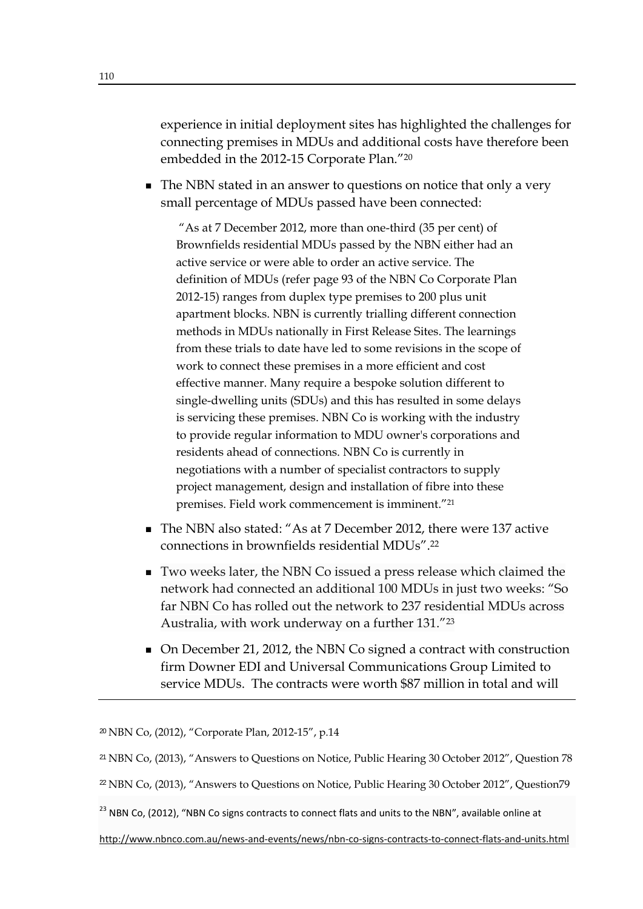experience in initial deployment sites has highlighted the challenges for connecting premises in MDUs and additional costs have therefore been embedded in the 2012-15 Corporate Plan."20

■ The NBN stated in an answer to questions on notice that only a very small percentage of MDUs passed have been connected:

 "As at 7 December 2012, more than one-third (35 per cent) of Brownfields residential MDUs passed by the NBN either had an active service or were able to order an active service. The definition of MDUs (refer page 93 of the NBN Co Corporate Plan 2012-15) ranges from duplex type premises to 200 plus unit apartment blocks. NBN is currently trialling different connection methods in MDUs nationally in First Release Sites. The learnings from these trials to date have led to some revisions in the scope of work to connect these premises in a more efficient and cost effective manner. Many require a bespoke solution different to single-dwelling units (SDUs) and this has resulted in some delays is servicing these premises. NBN Co is working with the industry to provide regular information to MDU owner's corporations and residents ahead of connections. NBN Co is currently in negotiations with a number of specialist contractors to supply project management, design and installation of fibre into these premises. Field work commencement is imminent."21

- The NBN also stated: "As at 7 December 2012, there were 137 active connections in brownfields residential MDUs".22
- Two weeks later, the NBN Co issued a press release which claimed the network had connected an additional 100 MDUs in just two weeks: "So far NBN Co has rolled out the network to 237 residential MDUs across Australia, with work underway on a further 131."23
- On December 21, 2012, the NBN Co signed a contract with construction firm Downer EDI and Universal Communications Group Limited to service MDUs. The contracts were worth \$87 million in total and will

http://www.nbnco.com.au/news‐and‐events/news/nbn‐co‐signs‐contracts‐to‐connect‐flats‐and‐units.html

<sup>20</sup> NBN Co, (2012), "Corporate Plan, 2012-15", p.14

<sup>21</sup> NBN Co, (2013), "Answers to Questions on Notice, Public Hearing 30 October 2012", Question 78

<sup>&</sup>lt;sup>22</sup> NBN Co, (2013), "Answers to Questions on Notice, Public Hearing 30 October 2012", Question79

<sup>&</sup>lt;sup>23</sup> NBN Co, (2012), "NBN Co signs contracts to connect flats and units to the NBN", available online at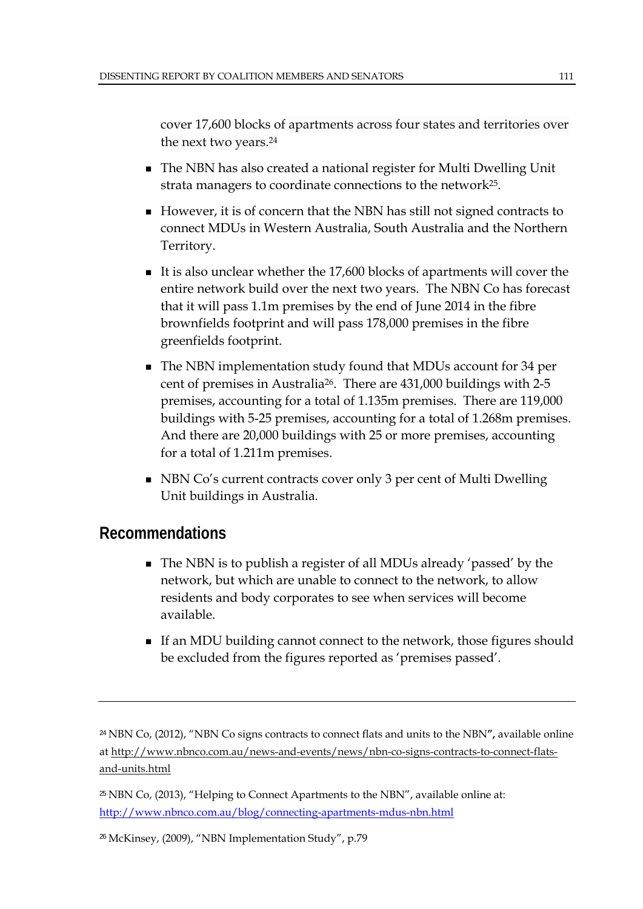cover 17,600 blocks of apartments across four states and territories over the next two years.24

- The NBN has also created a national register for Multi Dwelling Unit strata managers to coordinate connections to the network<sup>25</sup>.
- However, it is of concern that the NBN has still not signed contracts to connect MDUs in Western Australia, South Australia and the Northern Territory.
- It is also unclear whether the  $17,600$  blocks of apartments will cover the entire network build over the next two years. The NBN Co has forecast that it will pass 1.1m premises by the end of June 2014 in the fibre brownfields footprint and will pass 178,000 premises in the fibre greenfields footprint.
- The NBN implementation study found that MDUs account for 34 per cent of premises in Australia26. There are 431,000 buildings with 2-5 premises, accounting for a total of 1.135m premises. There are 119,000 buildings with 5-25 premises, accounting for a total of 1.268m premises. And there are 20,000 buildings with 25 or more premises, accounting for a total of 1.211m premises.
- NBN Co's current contracts cover only 3 per cent of Multi Dwelling Unit buildings in Australia.

#### **Recommendations**

- The NBN is to publish a register of all MDUs already 'passed' by the network, but which are unable to connect to the network, to allow residents and body corporates to see when services will become available.
- If an MDU building cannot connect to the network, those figures should be excluded from the figures reported as 'premises passed'.

<sup>24</sup> NBN Co, (2012), "NBN Co signs contracts to connect flats and units to the NBN**",** available online at http://www.nbnco.com.au/news-and-events/news/nbn-co-signs-contracts-to-connect-flatsand-units.html

<sup>25</sup> NBN Co, (2013), "Helping to Connect Apartments to the NBN", available online at: http://www.nbnco.com.au/blog/connecting-apartments-mdus-nbn.html

26 McKinsey, (2009), "NBN Implementation Study", p.79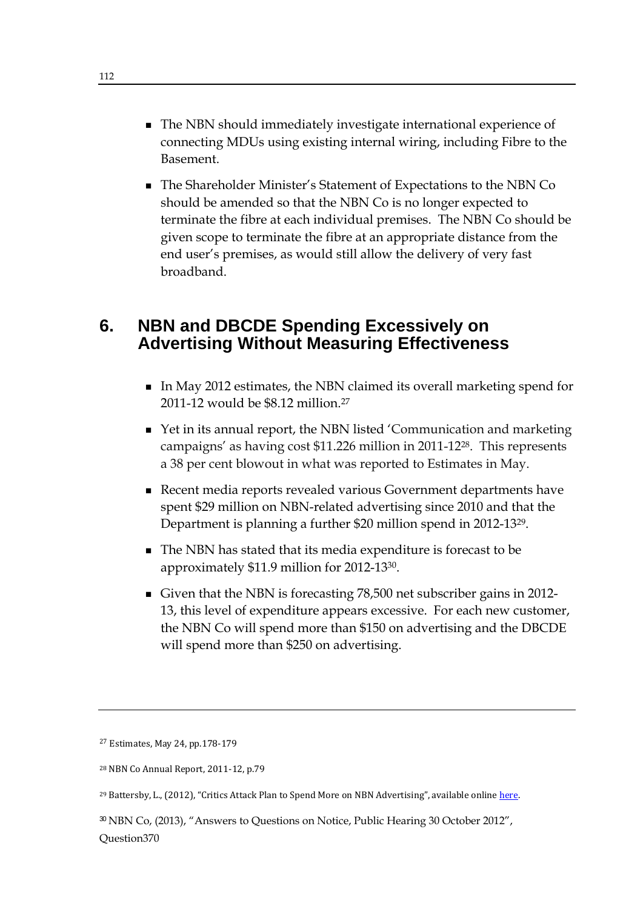- The NBN should immediately investigate international experience of connecting MDUs using existing internal wiring, including Fibre to the Basement.
- The Shareholder Minister's Statement of Expectations to the NBN Co should be amended so that the NBN Co is no longer expected to terminate the fibre at each individual premises. The NBN Co should be given scope to terminate the fibre at an appropriate distance from the end user's premises, as would still allow the delivery of very fast broadband.

### **6. NBN and DBCDE Spending Excessively on Advertising Without Measuring Effectiveness**

- In May 2012 estimates, the NBN claimed its overall marketing spend for 2011-12 would be \$8.12 million.27
- Yet in its annual report, the NBN listed 'Communication and marketing campaigns' as having cost \$11.226 million in 2011-1228. This represents a 38 per cent blowout in what was reported to Estimates in May.
- Recent media reports revealed various Government departments have spent \$29 million on NBN-related advertising since 2010 and that the Department is planning a further \$20 million spend in 2012-1329.
- The NBN has stated that its media expenditure is forecast to be approximately \$11.9 million for 2012-1330.
- Given that the NBN is forecasting 78,500 net subscriber gains in 2012- 13, this level of expenditure appears excessive. For each new customer, the NBN Co will spend more than \$150 on advertising and the DBCDE will spend more than \$250 on advertising.

<sup>27</sup> Estimates, May 24, pp.178-179

<sup>30</sup> NBN Co, (2013), "Answers to Questions on Notice, Public Hearing 30 October 2012", Question370

<sup>28</sup> NBN Co Annual Report, 2011‐12, p.79 

<sup>&</sup>lt;sup>29</sup> Battersby, L., (2012), "Critics Attack Plan to Spend More on NBN Advertising", available online here.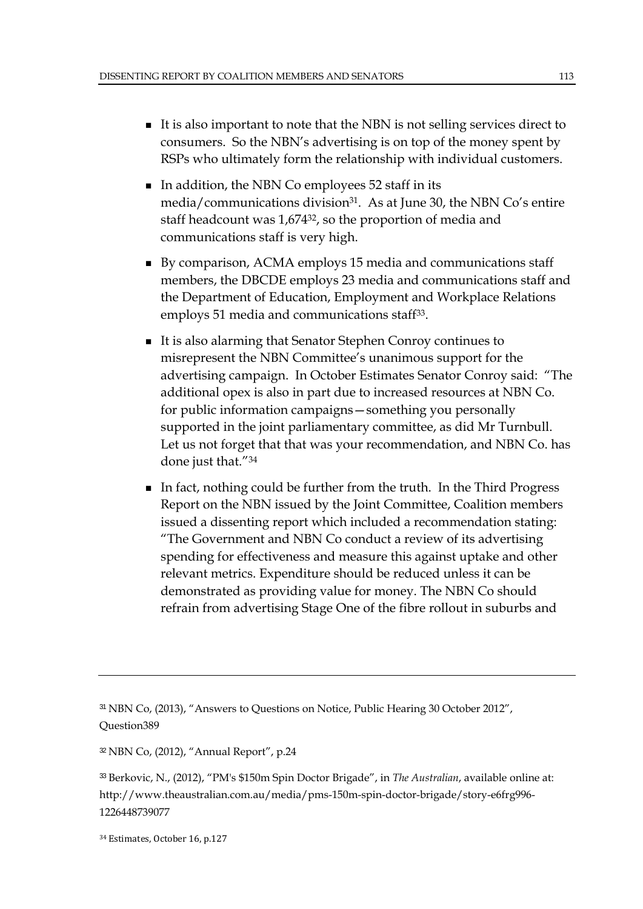- It is also important to note that the NBN is not selling services direct to consumers. So the NBN's advertising is on top of the money spent by RSPs who ultimately form the relationship with individual customers.
- In addition, the NBN Co employees  $52$  staff in its media/communications division<sup>31</sup>. As at June 30, the NBN Co's entire staff headcount was 1,67432, so the proportion of media and communications staff is very high.
- By comparison, ACMA employs 15 media and communications staff members, the DBCDE employs 23 media and communications staff and the Department of Education, Employment and Workplace Relations employs 51 media and communications staff<sup>33</sup>.
- It is also alarming that Senator Stephen Conroy continues to misrepresent the NBN Committee's unanimous support for the advertising campaign. In October Estimates Senator Conroy said: "The additional opex is also in part due to increased resources at NBN Co. for public information campaigns—something you personally supported in the joint parliamentary committee, as did Mr Turnbull. Let us not forget that that was your recommendation, and NBN Co. has done just that."34
- In fact, nothing could be further from the truth. In the Third Progress Report on the NBN issued by the Joint Committee, Coalition members issued a dissenting report which included a recommendation stating: "The Government and NBN Co conduct a review of its advertising spending for effectiveness and measure this against uptake and other relevant metrics. Expenditure should be reduced unless it can be demonstrated as providing value for money. The NBN Co should refrain from advertising Stage One of the fibre rollout in suburbs and

<sup>31</sup> NBN Co, (2013), "Answers to Questions on Notice, Public Hearing 30 October 2012", Question389

<sup>32</sup> NBN Co, (2012), "Annual Report", p.24

<sup>33</sup> Berkovic, N., (2012), "PM's \$150m Spin Doctor Brigade", in *The Australian*, available online at: http://www.theaustralian.com.au/media/pms-150m-spin-doctor-brigade/story-e6frg996- 1226448739077

<sup>&</sup>lt;sup>34</sup> Estimates, October 16, p.127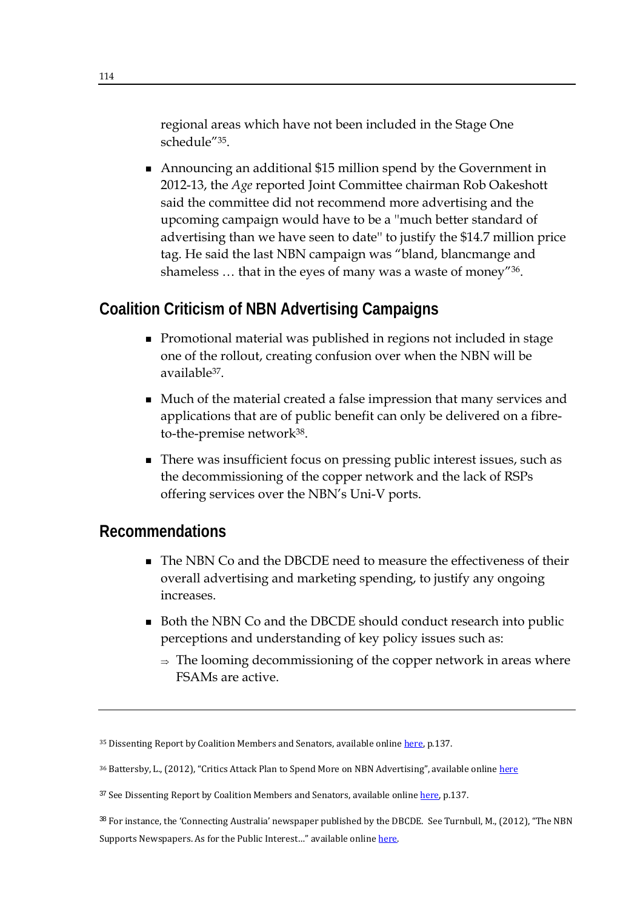regional areas which have not been included in the Stage One schedule"35.

 Announcing an additional \$15 million spend by the Government in 2012-13, the *Age* reported Joint Committee chairman Rob Oakeshott said the committee did not recommend more advertising and the upcoming campaign would have to be a ''much better standard of advertising than we have seen to date'' to justify the \$14.7 million price tag. He said the last NBN campaign was "bland, blancmange and shameless … that in the eyes of many was a waste of money"36.

## **Coalition Criticism of NBN Advertising Campaigns**

- Promotional material was published in regions not included in stage one of the rollout, creating confusion over when the NBN will be available37.
- Much of the material created a false impression that many services and applications that are of public benefit can only be delivered on a fibreto-the-premise network38.
- There was insufficient focus on pressing public interest issues, such as the decommissioning of the copper network and the lack of RSPs offering services over the NBN's Uni-V ports.

#### **Recommendations**

- The NBN Co and the DBCDE need to measure the effectiveness of their overall advertising and marketing spending, to justify any ongoing increases.
- Both the NBN Co and the DBCDE should conduct research into public perceptions and understanding of key policy issues such as:
	- $\Rightarrow$  The looming decommissioning of the copper network in areas where FSAMs are active.

<sup>35</sup> Dissenting Report by Coalition Members and Senators, available online here, p.137.

<sup>36</sup> Battersby, L., (2012), "Critics Attack Plan to Spend More on NBN Advertising", available online here

<sup>37</sup> See Dissenting Report by Coalition Members and Senators, available online here, p.137.

<sup>38</sup> For instance, the 'Connecting Australia' newspaper published by the DBCDE. See Turnbull, M., (2012), "The NBN Supports Newspapers. As for the Public Interest..." available online here.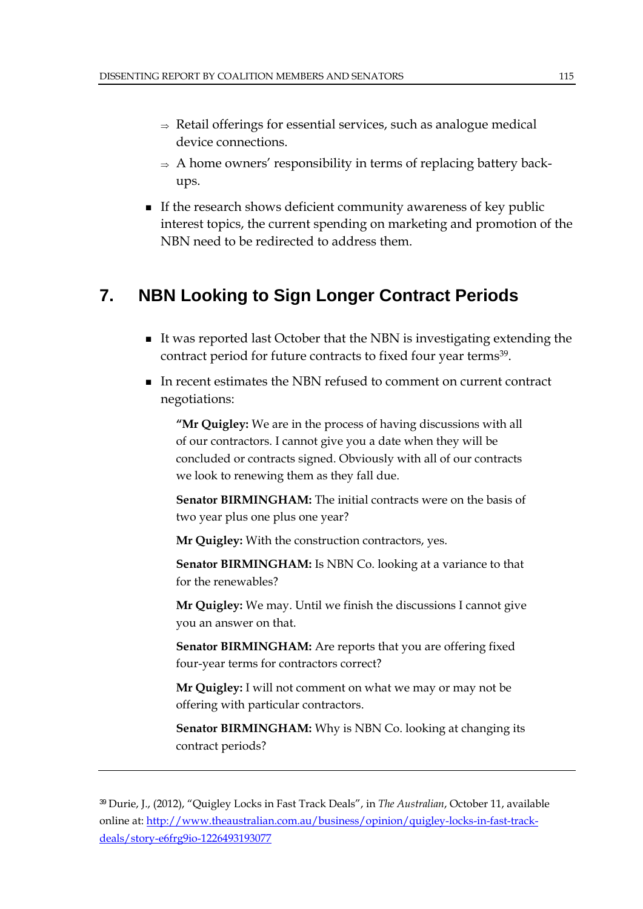- $\Rightarrow$  Retail offerings for essential services, such as analogue medical device connections.
- $\Rightarrow$  A home owners' responsibility in terms of replacing battery backups.
- If the research shows deficient community awareness of key public interest topics, the current spending on marketing and promotion of the NBN need to be redirected to address them.

# **7. NBN Looking to Sign Longer Contract Periods**

- It was reported last October that the NBN is investigating extending the contract period for future contracts to fixed four year terms<sup>39</sup>.
- In recent estimates the NBN refused to comment on current contract negotiations:

**"Mr Quigley:** We are in the process of having discussions with all of our contractors. I cannot give you a date when they will be concluded or contracts signed. Obviously with all of our contracts we look to renewing them as they fall due.

**Senator BIRMINGHAM:** The initial contracts were on the basis of two year plus one plus one year?

**Mr Quigley:** With the construction contractors, yes.

**Senator BIRMINGHAM:** Is NBN Co. looking at a variance to that for the renewables?

**Mr Quigley:** We may. Until we finish the discussions I cannot give you an answer on that.

**Senator BIRMINGHAM:** Are reports that you are offering fixed four-year terms for contractors correct?

**Mr Quigley:** I will not comment on what we may or may not be offering with particular contractors.

**Senator BIRMINGHAM:** Why is NBN Co. looking at changing its contract periods?

<sup>39</sup> Durie, J., (2012), "Quigley Locks in Fast Track Deals", in *The Australian*, October 11, available online at: http://www.theaustralian.com.au/business/opinion/quigley-locks-in-fast-trackdeals/story-e6frg9io-1226493193077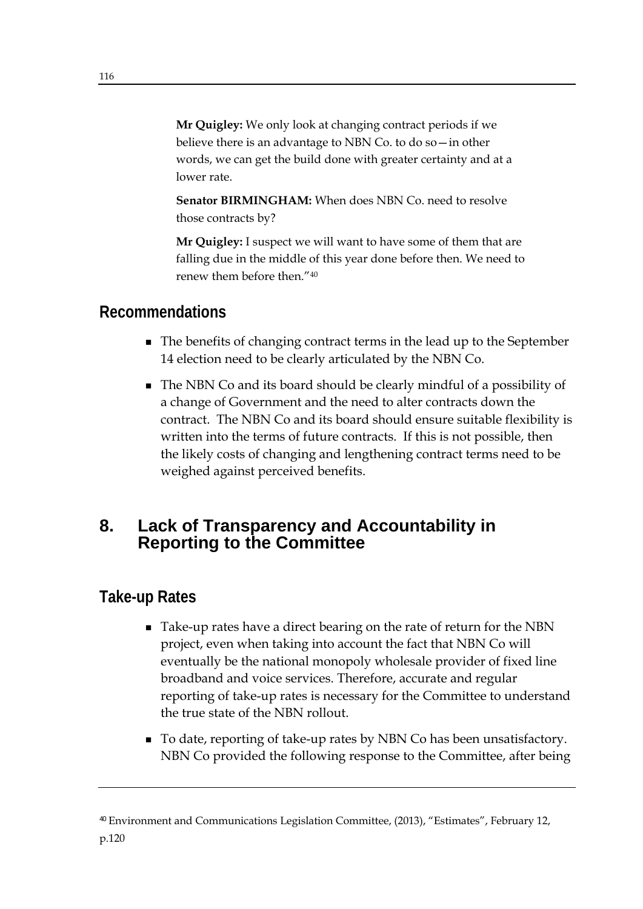**Mr Quigley:** We only look at changing contract periods if we believe there is an advantage to NBN Co. to do so—in other words, we can get the build done with greater certainty and at a lower rate.

**Senator BIRMINGHAM:** When does NBN Co. need to resolve those contracts by?

**Mr Quigley:** I suspect we will want to have some of them that are falling due in the middle of this year done before then. We need to renew them before then."40

# **Recommendations**

- The benefits of changing contract terms in the lead up to the September 14 election need to be clearly articulated by the NBN Co.
- The NBN Co and its board should be clearly mindful of a possibility of a change of Government and the need to alter contracts down the contract. The NBN Co and its board should ensure suitable flexibility is written into the terms of future contracts. If this is not possible, then the likely costs of changing and lengthening contract terms need to be weighed against perceived benefits.

## **8. Lack of Transparency and Accountability in Reporting to the Committee**

## **Take-up Rates**

- Take-up rates have a direct bearing on the rate of return for the NBN project, even when taking into account the fact that NBN Co will eventually be the national monopoly wholesale provider of fixed line broadband and voice services. Therefore, accurate and regular reporting of take-up rates is necessary for the Committee to understand the true state of the NBN rollout.
- To date, reporting of take-up rates by NBN Co has been unsatisfactory. NBN Co provided the following response to the Committee, after being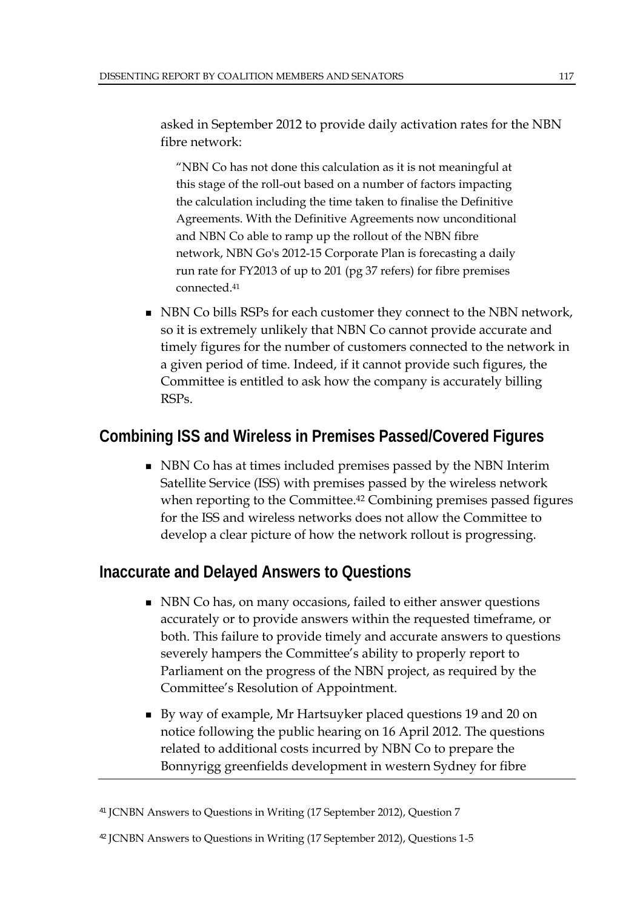asked in September 2012 to provide daily activation rates for the NBN fibre network:

"NBN Co has not done this calculation as it is not meaningful at this stage of the roll-out based on a number of factors impacting the calculation including the time taken to finalise the Definitive Agreements. With the Definitive Agreements now unconditional and NBN Co able to ramp up the rollout of the NBN fibre network, NBN Go's 2012-15 Corporate Plan is forecasting a daily run rate for FY2013 of up to 201 (pg 37 refers) for fibre premises connected.41

NBN Co bills RSPs for each customer they connect to the NBN network, so it is extremely unlikely that NBN Co cannot provide accurate and timely figures for the number of customers connected to the network in a given period of time. Indeed, if it cannot provide such figures, the Committee is entitled to ask how the company is accurately billing RSPs.

## **Combining ISS and Wireless in Premises Passed/Covered Figures**

■ NBN Co has at times included premises passed by the NBN Interim Satellite Service (ISS) with premises passed by the wireless network when reporting to the Committee.<sup>42</sup> Combining premises passed figures for the ISS and wireless networks does not allow the Committee to develop a clear picture of how the network rollout is progressing.

## **Inaccurate and Delayed Answers to Questions**

- NBN Co has, on many occasions, failed to either answer questions accurately or to provide answers within the requested timeframe, or both. This failure to provide timely and accurate answers to questions severely hampers the Committee's ability to properly report to Parliament on the progress of the NBN project, as required by the Committee's Resolution of Appointment.
- By way of example, Mr Hartsuyker placed questions 19 and 20 on notice following the public hearing on 16 April 2012. The questions related to additional costs incurred by NBN Co to prepare the Bonnyrigg greenfields development in western Sydney for fibre

<sup>41</sup> JCNBN Answers to Questions in Writing (17 September 2012), Question 7

<sup>42</sup> JCNBN Answers to Questions in Writing (17 September 2012), Questions 1-5